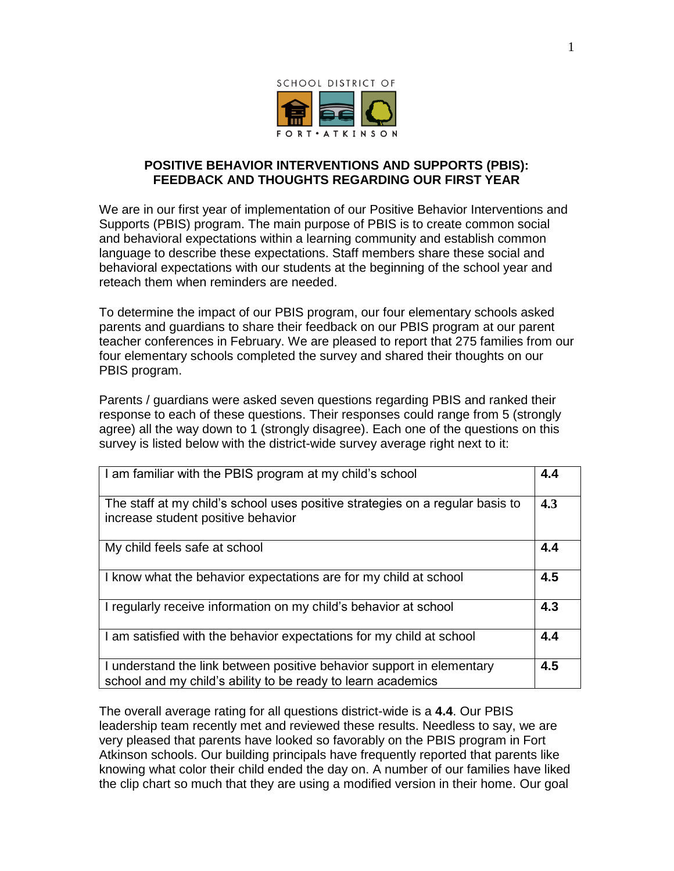

## **POSITIVE BEHAVIOR INTERVENTIONS AND SUPPORTS (PBIS): FEEDBACK AND THOUGHTS REGARDING OUR FIRST YEAR**

We are in our first year of implementation of our Positive Behavior Interventions and Supports (PBIS) program. The main purpose of PBIS is to create common social and behavioral expectations within a learning community and establish common language to describe these expectations. Staff members share these social and behavioral expectations with our students at the beginning of the school year and reteach them when reminders are needed.

To determine the impact of our PBIS program, our four elementary schools asked parents and guardians to share their feedback on our PBIS program at our parent teacher conferences in February. We are pleased to report that 275 families from our four elementary schools completed the survey and shared their thoughts on our PBIS program.

Parents / guardians were asked seven questions regarding PBIS and ranked their response to each of these questions. Their responses could range from 5 (strongly agree) all the way down to 1 (strongly disagree). Each one of the questions on this survey is listed below with the district-wide survey average right next to it:

| I am familiar with the PBIS program at my child's school                                                                              | 4.4 |
|---------------------------------------------------------------------------------------------------------------------------------------|-----|
| The staff at my child's school uses positive strategies on a regular basis to<br>increase student positive behavior                   | 4.3 |
| My child feels safe at school                                                                                                         | 4.4 |
| I know what the behavior expectations are for my child at school                                                                      | 4.5 |
| I regularly receive information on my child's behavior at school                                                                      | 4.3 |
| I am satisfied with the behavior expectations for my child at school                                                                  | 4.4 |
| I understand the link between positive behavior support in elementary<br>school and my child's ability to be ready to learn academics | 4.5 |

The overall average rating for all questions district-wide is a **4.4**. Our PBIS leadership team recently met and reviewed these results. Needless to say, we are very pleased that parents have looked so favorably on the PBIS program in Fort Atkinson schools. Our building principals have frequently reported that parents like knowing what color their child ended the day on. A number of our families have liked the clip chart so much that they are using a modified version in their home. Our goal